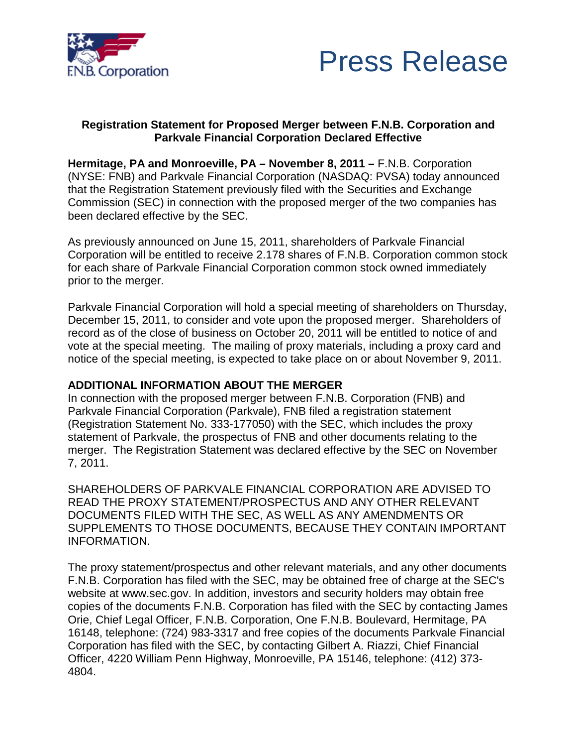



### **Registration Statement for Proposed Merger between F.N.B. Corporation and Parkvale Financial Corporation Declared Effective**

**Hermitage, PA and Monroeville, PA – November 8, 2011 –** F.N.B. Corporation (NYSE: FNB) and Parkvale Financial Corporation (NASDAQ: PVSA) today announced that the Registration Statement previously filed with the Securities and Exchange Commission (SEC) in connection with the proposed merger of the two companies has been declared effective by the SEC.

As previously announced on June 15, 2011, shareholders of Parkvale Financial Corporation will be entitled to receive 2.178 shares of F.N.B. Corporation common stock for each share of Parkvale Financial Corporation common stock owned immediately prior to the merger.

Parkvale Financial Corporation will hold a special meeting of shareholders on Thursday, December 15, 2011, to consider and vote upon the proposed merger. Shareholders of record as of the close of business on October 20, 2011 will be entitled to notice of and vote at the special meeting. The mailing of proxy materials, including a proxy card and notice of the special meeting, is expected to take place on or about November 9, 2011.

## **ADDITIONAL INFORMATION ABOUT THE MERGER**

In connection with the proposed merger between F.N.B. Corporation (FNB) and Parkvale Financial Corporation (Parkvale), FNB filed a registration statement (Registration Statement No. 333-177050) with the SEC, which includes the proxy statement of Parkvale, the prospectus of FNB and other documents relating to the merger. The Registration Statement was declared effective by the SEC on November 7, 2011.

SHAREHOLDERS OF PARKVALE FINANCIAL CORPORATION ARE ADVISED TO READ THE PROXY STATEMENT/PROSPECTUS AND ANY OTHER RELEVANT DOCUMENTS FILED WITH THE SEC, AS WELL AS ANY AMENDMENTS OR SUPPLEMENTS TO THOSE DOCUMENTS, BECAUSE THEY CONTAIN IMPORTANT INFORMATION.

The proxy statement/prospectus and other relevant materials, and any other documents F.N.B. Corporation has filed with the SEC, may be obtained free of charge at the SEC's website at www.sec.gov. In addition, investors and security holders may obtain free copies of the documents F.N.B. Corporation has filed with the SEC by contacting James Orie, Chief Legal Officer, F.N.B. Corporation, One F.N.B. Boulevard, Hermitage, PA 16148, telephone: (724) 983-3317 and free copies of the documents Parkvale Financial Corporation has filed with the SEC, by contacting Gilbert A. Riazzi, Chief Financial Officer, 4220 William Penn Highway, Monroeville, PA 15146, telephone: (412) 373- 4804.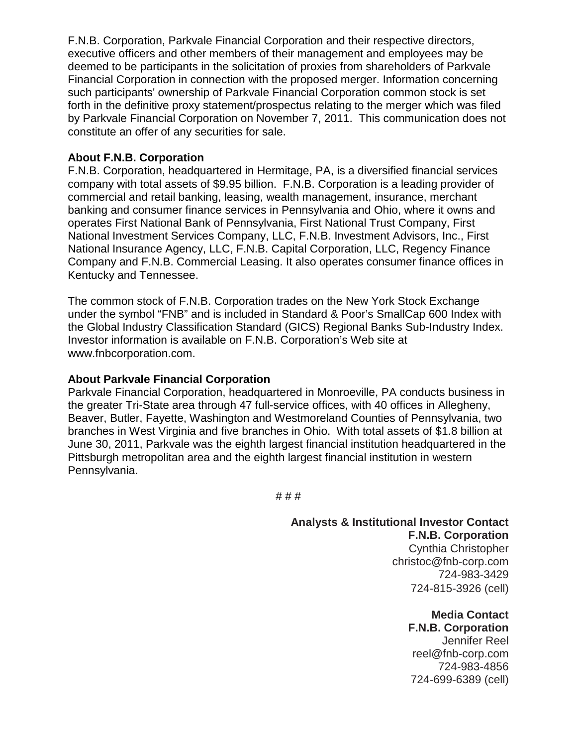F.N.B. Corporation, Parkvale Financial Corporation and their respective directors, executive officers and other members of their management and employees may be deemed to be participants in the solicitation of proxies from shareholders of Parkvale Financial Corporation in connection with the proposed merger. Information concerning such participants' ownership of Parkvale Financial Corporation common stock is set forth in the definitive proxy statement/prospectus relating to the merger which was filed by Parkvale Financial Corporation on November 7, 2011. This communication does not constitute an offer of any securities for sale.

#### **About F.N.B. Corporation**

F.N.B. Corporation, headquartered in Hermitage, PA, is a diversified financial services company with total assets of \$9.95 billion. F.N.B. Corporation is a leading provider of commercial and retail banking, leasing, wealth management, insurance, merchant banking and consumer finance services in Pennsylvania and Ohio, where it owns and operates First National Bank of Pennsylvania, First National Trust Company, First National Investment Services Company, LLC, F.N.B. Investment Advisors, Inc., First National Insurance Agency, LLC, F.N.B. Capital Corporation, LLC, Regency Finance Company and F.N.B. Commercial Leasing. It also operates consumer finance offices in Kentucky and Tennessee.

The common stock of F.N.B. Corporation trades on the New York Stock Exchange under the symbol "FNB" and is included in Standard & Poor's SmallCap 600 Index with the Global Industry Classification Standard (GICS) Regional Banks Sub-Industry Index. Investor information is available on F.N.B. Corporation's Web site at www.fnbcorporation.com.

#### **About Parkvale Financial Corporation**

Parkvale Financial Corporation, headquartered in Monroeville, PA conducts business in the greater Tri-State area through 47 full-service offices, with 40 offices in Allegheny, Beaver, Butler, Fayette, Washington and Westmoreland Counties of Pennsylvania, two branches in West Virginia and five branches in Ohio. With total assets of \$1.8 billion at June 30, 2011, Parkvale was the eighth largest financial institution headquartered in the Pittsburgh metropolitan area and the eighth largest financial institution in western Pennsylvania.

# # #

## **Analysts & Institutional Investor Contact**

**F.N.B. Corporation** Cynthia Christopher christoc@fnb-corp.com 724-983-3429 724-815-3926 (cell)

> **Media Contact F.N.B. Corporation** Jennifer Reel reel@fnb-corp.com 724-983-4856 724-699-6389 (cell)